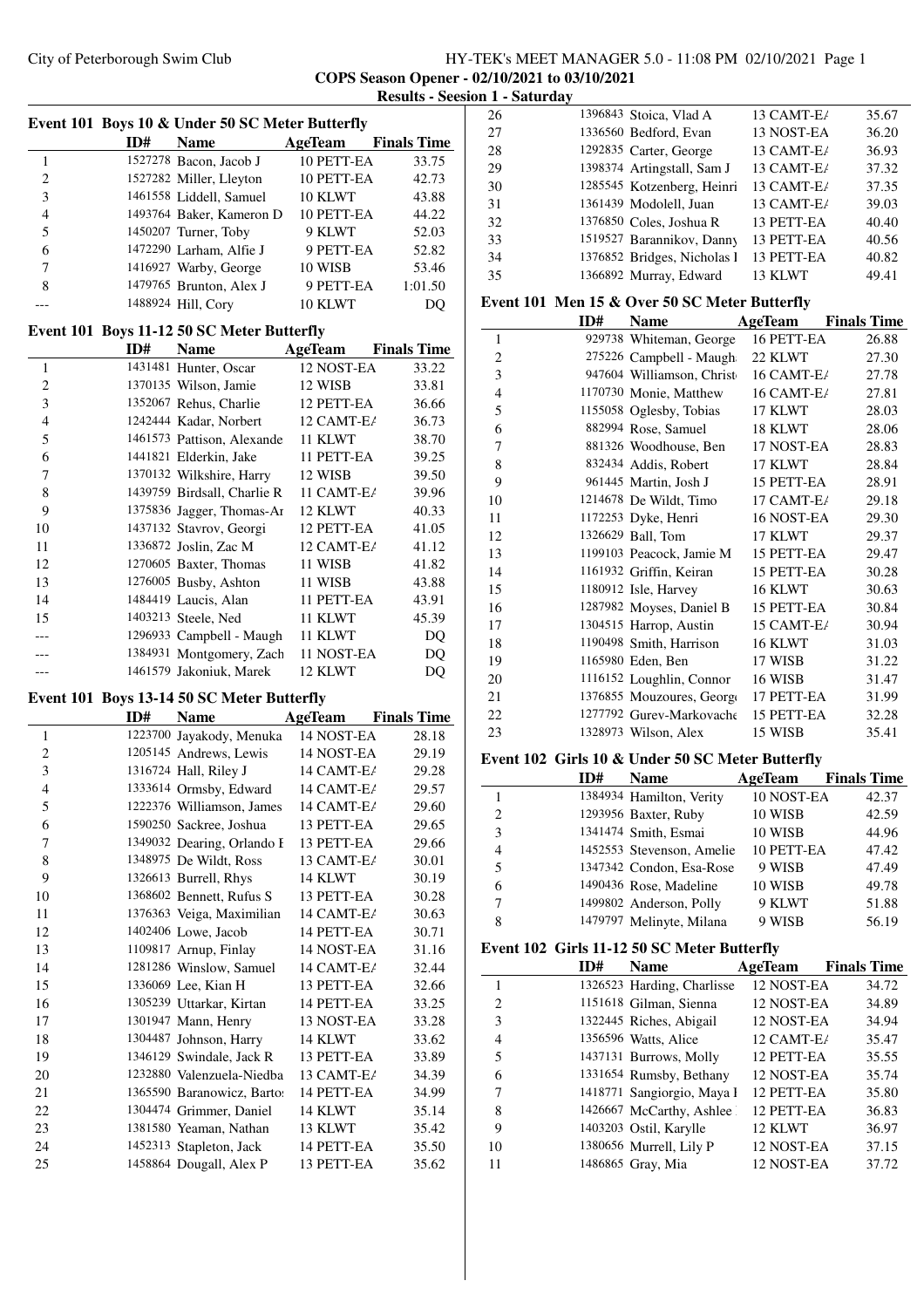## City of Peterborough Swim Club HY-TEK's MEET MANAGER 5.0 - 11:08 PM 02/10/2021 Page 1 **COPS Season Opener - 02/10/2021 to 03/10/2021 Results - Seesion 1 - Saturday**

|                |     | Event 101 Boys 10 & Under 50 SC Meter Butterfly         |                |                    |
|----------------|-----|---------------------------------------------------------|----------------|--------------------|
|                | ID# | <b>Name</b>                                             | <b>AgeTeam</b> | <b>Finals Time</b> |
| $\mathbf{1}$   |     | 1527278 Bacon, Jacob J                                  | 10 PETT-EA     | 33.75              |
| $\overline{c}$ |     | 1527282 Miller, Lleyton                                 | 10 PETT-EA     | 42.73              |
| 3              |     | 1461558 Liddell, Samuel                                 | 10 KLWT        | 43.88              |
| $\overline{4}$ |     | 1493764 Baker, Kameron D                                | 10 PETT-EA     | 44.22              |
| 5              |     | 1450207 Turner, Toby                                    | 9 KLWT         | 52.03              |
| 6              |     | 1472290 Larham, Alfie J                                 | 9 PETT-EA      | 52.82              |
| 7              |     | 1416927 Warby, George                                   | 10 WISB        | 53.46              |
| 8              |     | 1479765 Brunton, Alex J                                 | 9 PETT-EA      | 1:01.50            |
| ---            |     | 1488924 Hill, Cory                                      | 10 KLWT        | DQ                 |
|                |     | Event 101 Boys 11-12 50 SC Meter Butterfly              |                |                    |
|                | ID# | <b>Name</b>                                             | AgeTeam        | <b>Finals Time</b> |
| 1              |     | 1431481 Hunter, Oscar                                   | 12 NOST-EA     | 33.22              |
| $\overline{c}$ |     | 1370135 Wilson, Jamie                                   | 12 WISB        | 33.81              |
| 3              |     | 1352067 Rehus, Charlie                                  | 12 PETT-EA     | 36.66              |
| 4              |     | 1242444 Kadar, Norbert                                  | 12 CAMT-E/     | 36.73              |
| 5              |     | 1461573 Pattison, Alexande                              | 11 KLWT        | 38.70              |
| 6              |     | 1441821 Elderkin, Jake                                  | 11 PETT-EA     | 39.25              |
| 7              |     |                                                         | 12 WISB        |                    |
| 8              |     | 1370132 Wilkshire, Harry<br>1439759 Birdsall, Charlie R | 11 CAMT-E/     | 39.50              |
| 9              |     |                                                         | 12 KLWT        | 39.96              |
|                |     | 1375836 Jagger, Thomas-Ar<br>1437132 Stavrov, Georgi    | 12 PETT-EA     | 40.33              |
| 10             |     |                                                         | 12 CAMT-E/     | 41.05              |
| 11             |     | 1336872 Joslin, Zac M                                   |                | 41.12              |
| 12             |     | 1270605 Baxter, Thomas                                  | 11 WISB        | 41.82              |
| 13             |     | 1276005 Busby, Ashton                                   | 11 WISB        | 43.88              |
| 14             |     | 1484419 Laucis, Alan                                    | 11 PETT-EA     | 43.91              |
| 15             |     | 1403213 Steele, Ned                                     | 11 KLWT        | 45.39              |
| ---            |     | 1296933 Campbell - Maugh                                | 11 KLWT        | DQ                 |
|                |     | 1384931 Montgomery, Zach                                | 11 NOST-EA     | DQ                 |
| ---            |     | 1461579 Jakoniuk, Marek                                 | 12 KLWT        | DQ                 |
|                |     | Event 101 Boys 13-14 50 SC Meter Butterfly              |                |                    |
|                | ID# | <b>Name</b>                                             | <b>AgeTeam</b> | <b>Finals Time</b> |
| 1              |     | 1223700 Jayakody, Menuka                                | 14 NOST-EA     | 28.18              |
| $\overline{c}$ |     | 1205145 Andrews, Lewis                                  | 14 NOST-EA     | 29.19              |
| 3              |     | 1316724 Hall, Riley J                                   | 14 CAMT-E/     | 29.28              |
| $\overline{4}$ |     | 1333614 Ormsby, Edward                                  | 14 CAMT-E/     | 29.57              |
| 5              |     | 1222376 Williamson, James                               | 14 CAMT-E/     | 29.60              |
| 6              |     | 1590250 Sackree, Joshua                                 | 13 PETT-EA     | 29.65              |
| 7              |     | 1349032 Dearing, Orlando I                              | 13 PETT-EA     | 29.66              |
| 8              |     | 1348975 De Wildt, Ross                                  | 13 CAMT-E/     | 30.01              |
| 9              |     | 1326613 Burrell, Rhys                                   | 14 KLWT        | 30.19              |
| 10             |     | 1368602 Bennett, Rufus S                                | 13 PETT-EA     | 30.28              |
| 11             |     | 1376363 Veiga, Maximilian                               | 14 CAMT-E/     | 30.63              |
| 12             |     | 1402406 Lowe, Jacob                                     | 14 PETT-EA     | 30.71              |
| 13             |     | 1109817 Arnup, Finlay                                   | 14 NOST-EA     | 31.16              |
| 14             |     | 1281286 Winslow, Samuel                                 | 14 CAMT-E/     | 32.44              |
| 15             |     | 1336069 Lee, Kian H                                     | 13 PETT-EA     | 32.66              |
| 16             |     | 1305239 Uttarkar, Kirtan                                | 14 PETT-EA     | 33.25              |
| 17             |     | 1301947 Mann, Henry                                     | 13 NOST-EA     | 33.28              |
| 18             |     | 1304487 Johnson, Harry                                  | 14 KLWT        | 33.62              |
| 19             |     | 1346129 Swindale, Jack R                                | 13 PETT-EA     | 33.89              |
| 20             |     | 1232880 Valenzuela-Niedba                               | 13 CAMT-E/     | 34.39              |
| 21             |     | 1365590 Baranowicz, Bartos                              | 14 PETT-EA     | 34.99              |
| 22             |     | 1304474 Grimmer, Daniel                                 | 14 KLWT        | 35.14              |
| 23             |     | 1381580 Yeaman, Nathan                                  | 13 KLWT        | 35.42              |
|                |     |                                                         |                |                    |
| 24<br>25       |     | 1452313 Stapleton, Jack<br>1458864 Dougall, Alex P      | 14 PETT-EA     | 35.50              |
|                |     |                                                         | 13 PETT-EA     | 35.62              |

| 26 | 1396843 Stoica, Vlad A      | 13 CAMT-E/ | 35.67 |
|----|-----------------------------|------------|-------|
| 27 | 1336560 Bedford, Evan       | 13 NOST-EA | 36.20 |
| 28 | 1292835 Carter, George      | 13 CAMT-E/ | 36.93 |
| 29 | 1398374 Artingstall, Sam J  | 13 CAMT-E/ | 37.32 |
| 30 | 1285545 Kotzenberg, Heinri  | 13 CAMT-E/ | 37.35 |
| 31 | 1361439 Modolell, Juan      | 13 CAMT-E/ | 39.03 |
| 32 | 1376850 Coles, Joshua R     | 13 PETT-EA | 40.40 |
| 33 | 1519527 Barannikov, Danny   | 13 PETT-EA | 40.56 |
| 34 | 1376852 Bridges, Nicholas I | 13 PETT-EA | 40.82 |
| 35 | 1366892 Murray, Edward      | 13 KLWT    | 49.41 |
|    |                             |            |       |

## **Event 101 Men 15 & Over 50 SC Meter Butterfly**

|                | ID# | Name                      | AgeTeam    | <b>Finals Time</b> |
|----------------|-----|---------------------------|------------|--------------------|
| 1              |     | 929738 Whiteman, George   | 16 PETT-EA | 26.88              |
| 2              |     | 275226 Campbell - Maugh   | 22 KLWT    | 27.30              |
| 3              |     | 947604 Williamson, Christ | 16 CAMT-E/ | 27.78              |
| $\overline{4}$ |     | 1170730 Monie, Matthew    | 16 CAMT-E/ | 27.81              |
| 5              |     | 1155058 Oglesby, Tobias   | 17 KLWT    | 28.03              |
| 6              |     | 882994 Rose, Samuel       | 18 KLWT    | 28.06              |
| 7              |     | 881326 Woodhouse, Ben     | 17 NOST-EA | 28.83              |
| 8              |     | 832434 Addis, Robert      | 17 KLWT    | 28.84              |
| 9              |     | 961445 Martin, Josh J     | 15 PETT-EA | 28.91              |
| 10             |     | 1214678 De Wildt, Timo    | 17 CAMT-E/ | 29.18              |
| 11             |     | 1172253 Dyke, Henri       | 16 NOST-EA | 29.30              |
| 12             |     | 1326629 Ball, Tom         | 17 KLWT    | 29.37              |
| 13             |     | 1199103 Peacock, Jamie M  | 15 PETT-EA | 29.47              |
| 14             |     | 1161932 Griffin, Keiran   | 15 PETT-EA | 30.28              |
| 15             |     | 1180912 Isle, Harvey      | 16 KLWT    | 30.63              |
| 16             |     | 1287982 Moyses, Daniel B  | 15 PETT-EA | 30.84              |
| 17             |     | 1304515 Harrop, Austin    | 15 CAMT-E/ | 30.94              |
| 18             |     | 1190498 Smith, Harrison   | 16 KLWT    | 31.03              |
| 19             |     | 1165980 Eden, Ben         | 17 WISB    | 31.22              |
| 20             |     | 1116152 Loughlin, Connor  | 16 WISB    | 31.47              |
| 21             |     | 1376855 Mouzoures, George | 17 PETT-EA | 31.99              |
| 22             |     | 1277792 Gurev-Markovache  | 15 PETT-EA | 32.28              |
| 23             |     | 1328973 Wilson, Alex      | 15 WISB    | 35.41              |
|                |     |                           |            |                    |

## **Event 102 Girls 10 & Under 50 SC Meter Butterfly**

|               | ID# | <b>Name</b>               | AgeTeam    | <b>Finals Time</b> |
|---------------|-----|---------------------------|------------|--------------------|
|               |     | 1384934 Hamilton, Verity  | 10 NOST-EA | 42.37              |
| $\mathcal{L}$ |     | 1293956 Baxter, Ruby      | 10 WISB    | 42.59              |
| 3             |     | 1341474 Smith, Esmai      | 10 WISB    | 44.96              |
| 4             |     | 1452553 Stevenson, Amelie | 10 PETT-EA | 47.42              |
| 5             |     | 1347342 Condon, Esa-Rose  | 9 WISB     | 47.49              |
| 6             |     | 1490436 Rose, Madeline    | 10 WISB    | 49.78              |
| 7             |     | 1499802 Anderson, Polly   | 9 KLWT     | 51.88              |
| 8             |     | 1479797 Melinyte, Milana  | 9 WISB     | 56.19              |

## **Event 102 Girls 11-12 50 SC Meter Butterfly**

| ID# | <b>Name</b> |                                                                                                                                                                                                          | <b>Finals Time</b>                                                                              |
|-----|-------------|----------------------------------------------------------------------------------------------------------------------------------------------------------------------------------------------------------|-------------------------------------------------------------------------------------------------|
|     |             | 12 NOST-EA                                                                                                                                                                                               | 34.72                                                                                           |
|     |             | 12 NOST-EA                                                                                                                                                                                               | 34.89                                                                                           |
|     |             | 12 NOST-EA                                                                                                                                                                                               | 34.94                                                                                           |
|     |             | 12 CAMT-E/                                                                                                                                                                                               | 35.47                                                                                           |
|     |             | 12 PETT-EA                                                                                                                                                                                               | 35.55                                                                                           |
|     |             | 12 NOST-EA                                                                                                                                                                                               | 35.74                                                                                           |
|     |             | 12 PETT-EA                                                                                                                                                                                               | 35.80                                                                                           |
|     |             | 12 PETT-EA                                                                                                                                                                                               | 36.83                                                                                           |
|     |             | 12 KLWT                                                                                                                                                                                                  | 36.97                                                                                           |
|     |             | 12 NOST-EA                                                                                                                                                                                               | 37.15                                                                                           |
|     |             | 12 NOST-EA                                                                                                                                                                                               | 37.72                                                                                           |
|     |             | 1151618 Gilman, Sienna<br>1322445 Riches, Abigail<br>1356596 Watts, Alice<br>1437131 Burrows, Molly<br>1331654 Rumsby, Bethany<br>1403203 Ostil, Karylle<br>1380656 Murrell, Lily P<br>1486865 Gray, Mia | AgeTeam<br>1326523 Harding, Charlisse<br>1418771 Sangiorgio, Maya I<br>1426667 McCarthy, Ashlee |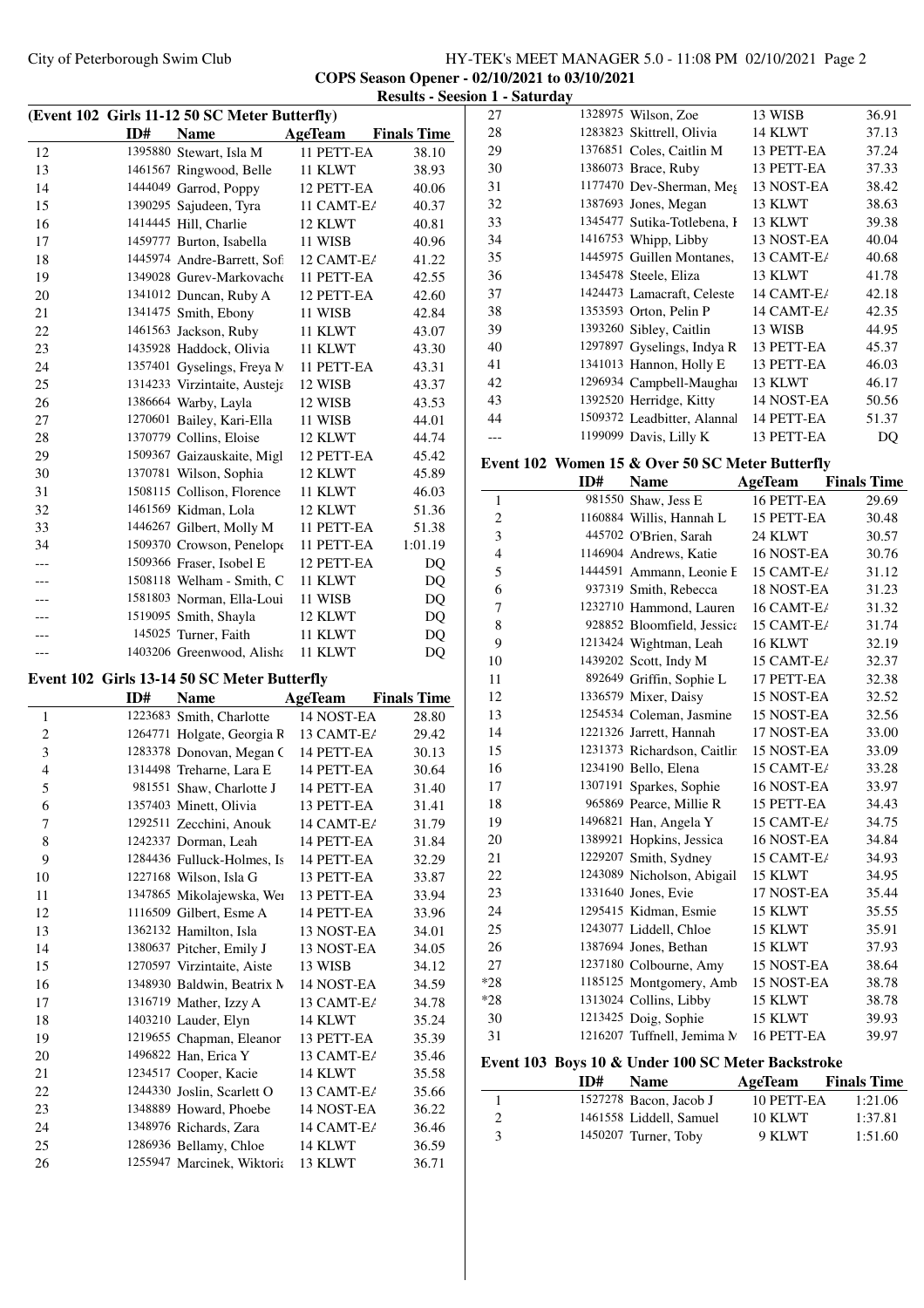# City of Peterborough Swim Club HY-TEK's MEET MANAGER 5.0 - 11:08 PM 02/10/2021 Page 2 **COPS Season Opener - 02/10/2021 to 03/10/2021 Results 1 - Saturday**

|                     |     |                                                            |                          | Results - Se       |
|---------------------|-----|------------------------------------------------------------|--------------------------|--------------------|
|                     |     | (Event 102 Girls 11-12 50 SC Meter Butterfly)              |                          |                    |
|                     | ID# | Name                                                       | <b>AgeTeam</b>           | <b>Finals Time</b> |
| 12                  |     | 1395880 Stewart, Isla M                                    | 11 PETT-EA               | 38.10              |
| 13                  |     | 1461567 Ringwood, Belle                                    | 11 KLWT                  | 38.93              |
| 14                  |     | 1444049 Garrod, Poppy                                      | 12 PETT-EA               | 40.06              |
| 15                  |     | 1390295 Sajudeen, Tyra                                     | 11 CAMT-E/               | 40.37              |
| 16                  |     | 1414445 Hill, Charlie                                      | 12 KLWT                  | 40.81              |
| 17                  |     | 1459777 Burton, Isabella                                   | 11 WISB                  | 40.96              |
| 18                  |     | 1445974 Andre-Barrett, Sofi                                | 12 CAMT-E/               | 41.22              |
| 19                  |     | 1349028 Gurey-Markovache                                   | 11 PETT-EA               | 42.55              |
| 20                  |     | 1341012 Duncan, Ruby A                                     | 12 PETT-EA               | 42.60              |
| 21                  |     | 1341475 Smith, Ebony                                       | 11 WISB                  | 42.84              |
| 22<br>23            |     | 1461563 Jackson, Ruby                                      | 11 KLWT                  | 43.07              |
| 24                  |     | 1435928 Haddock, Olivia                                    | 11 KLWT                  | 43.30<br>43.31     |
| 25                  |     | 1357401 Gyselings, Freya N<br>1314233 Virzintaite, Austeja | 11 PETT-EA<br>12 WISB    | 43.37              |
| 26                  |     | 1386664 Warby, Layla                                       | 12 WISB                  | 43.53              |
| 27                  |     | 1270601 Bailey, Kari-Ella                                  | 11 WISB                  | 44.01              |
| 28                  |     | 1370779 Collins, Eloise                                    | 12 KLWT                  | 44.74              |
| 29                  |     | 1509367 Gaizauskaite, Migl                                 | 12 PETT-EA               | 45.42              |
| 30                  |     | 1370781 Wilson, Sophia                                     | 12 KLWT                  | 45.89              |
| 31                  |     | 1508115 Collison, Florence                                 | 11 KLWT                  | 46.03              |
| 32                  |     | 1461569 Kidman, Lola                                       | 12 KLWT                  | 51.36              |
| 33                  |     | 1446267 Gilbert, Molly M                                   | 11 PETT-EA               | 51.38              |
| 34                  |     | 1509370 Crowson, Penelope                                  | 11 PETT-EA               | 1:01.19            |
| ---                 |     | 1509366 Fraser, Isobel E                                   | 12 PETT-EA               | DQ                 |
| ---                 |     | 1508118 Welham - Smith, C                                  | 11 KLWT                  | DQ                 |
| ---                 |     | 1581803 Norman, Ella-Loui                                  | 11 WISB                  | DQ                 |
|                     |     | 1519095 Smith, Shayla                                      | 12 KLWT                  | DQ                 |
|                     |     | 145025 Turner, Faith                                       | 11 KLWT                  | DQ                 |
|                     |     | 1403206 Greenwood, Alisha                                  | 11 KLWT                  | DQ                 |
|                     |     |                                                            |                          |                    |
|                     |     | Event 102 Girls 13-14 50 SC Meter Butterfly                |                          |                    |
|                     | ID# | <b>Name</b>                                                | <b>AgeTeam</b>           | <b>Finals Time</b> |
| 1<br>$\overline{c}$ |     | 1223683 Smith, Charlotte<br>1264771 Holgate, Georgia R     | 14 NOST-EA<br>13 CAMT-E/ | 28.80<br>29.42     |
| 3                   |     | 1283378 Donovan, Megan C                                   | 14 PETT-EA               | 30.13              |
| $\overline{4}$      |     | 1314498 Treharne, Lara E                                   | 14 PETT-EA               | 30.64              |
| 5                   |     | 981551 Shaw, Charlotte J                                   | 14 PETT-EA               | 31.40              |
| 6                   |     | 1357403 Minett, Olivia                                     | 13 PETT-EA               | 31.41              |
| 7                   |     | 1292511 Zecchini, Anouk                                    | 14 CAMT-E/               | 31.79              |
| 8                   |     | 1242337 Dorman, Leah                                       | 14 PETT-EA               | 31.84              |
| 9                   |     | 1284436 Fulluck-Holmes, Is                                 | 14 PETT-EA               | 32.29              |
| 10                  |     | 1227168 Wilson, Isla G                                     | 13 PETT-EA               | 33.87              |
| 11                  |     | 1347865 Mikolajewska, Wei                                  | 13 PETT-EA               | 33.94              |
| 12                  |     | 1116509 Gilbert, Esme A                                    | 14 PETT-EA               | 33.96              |
| 13                  |     | 1362132 Hamilton, Isla                                     | 13 NOST-EA               | 34.01              |
| 14                  |     | 1380637 Pitcher, Emily J                                   | 13 NOST-EA               | 34.05              |
| 15                  |     | 1270597 Virzintaite, Aiste                                 | 13 WISB                  | 34.12              |
| 16                  |     | 1348930 Baldwin, Beatrix M                                 | 14 NOST-EA               | 34.59              |
| 17                  |     | 1316719 Mather, Izzy A                                     | 13 CAMT-E <i>i</i>       | 34.78              |
| 18                  |     | 1403210 Lauder, Elyn                                       | 14 KLWT                  | 35.24              |
| 19                  |     | 1219655 Chapman, Eleanor                                   | 13 PETT-EA               | 35.39              |
| 20                  |     | 1496822 Han, Erica Y                                       | 13 CAMT-E/               | 35.46              |
| 21                  |     | 1234517 Cooper, Kacie                                      | 14 KLWT                  | 35.58              |
| 22                  |     | 1244330 Joslin, Scarlett O                                 | 13 CAMT-E/               | 35.66              |
| 23                  |     | 1348889 Howard, Phoebe                                     | 14 NOST-EA               | 36.22              |
| 24                  |     | 1348976 Richards, Zara                                     | 14 CAMT-E/               | 36.46              |
| 25                  |     | 1286936 Bellamy, Chloe                                     | 14 KLWT                  | 36.59              |
| 26                  |     | 1255947 Marcinek, Wiktoria                                 | 13 KLWT                  | 36.71              |

| 27             |     | 1328975 Wilson, Zoe                               | 13 WISB        | 36.91              |
|----------------|-----|---------------------------------------------------|----------------|--------------------|
| 28             |     | 1283823 Skittrell, Olivia                         | 14 KLWT        | 37.13              |
| 29             |     | 1376851 Coles, Caitlin M                          | 13 PETT-EA     | 37.24              |
| 30             |     | 1386073 Brace, Ruby                               | 13 PETT-EA     | 37.33              |
| 31             |     | 1177470 Dev-Sherman, Meg                          | 13 NOST-EA     | 38.42              |
| 32             |     | 1387693 Jones, Megan                              | 13 KLWT        | 38.63              |
| 33             |     | 1345477 Sutika-Totlebena, I                       | 13 KLWT        | 39.38              |
| 34             |     | 1416753 Whipp, Libby                              | 13 NOST-EA     | 40.04              |
| 35             |     | 1445975 Guillen Montanes,                         | 13 CAMT-E/     | 40.68              |
| 36             |     | 1345478 Steele, Eliza                             | 13 KLWT        | 41.78              |
| 37             |     | 1424473 Lamacraft, Celeste                        | 14 CAMT-E/     | 42.18              |
| 38             |     | 1353593 Orton, Pelin P                            | 14 CAMT-E/     | 42.35              |
| 39             |     | 1393260 Sibley, Caitlin                           | 13 WISB        | 44.95              |
| 40             |     | 1297897 Gyselings, Indya R                        | 13 PETT-EA     | 45.37              |
| 41             |     | 1341013 Hannon, Holly E                           | 13 PETT-EA     | 46.03              |
| 42             |     | 1296934 Campbell-Maughai                          | 13 KLWT        | 46.17              |
| 43             |     | 1392520 Herridge, Kitty                           | 14 NOST-EA     | 50.56              |
| 44             |     | 1509372 Leadbitter, Alannal                       | 14 PETT-EA     | 51.37              |
| ---            |     | 1199099 Davis, Lilly K                            | 13 PETT-EA     | DQ                 |
|                |     |                                                   |                |                    |
|                |     | Event 102 Women 15 & Over 50 SC Meter Butterfly   |                |                    |
|                | ID# | <b>Name</b>                                       | AgeTeam        | <b>Finals Time</b> |
| 1              |     | 981550 Shaw, Jess E                               | 16 PETT-EA     | 29.69              |
| $\overline{c}$ |     | 1160884 Willis, Hannah L                          | 15 PETT-EA     | 30.48              |
| 3              |     | 445702 O'Brien, Sarah                             | 24 KLWT        | 30.57              |
| $\overline{4}$ |     | 1146904 Andrews, Katie                            | 16 NOST-EA     | 30.76              |
| 5              |     | 1444591 Ammann, Leonie F                          | 15 CAMT-E/     | 31.12              |
| 6              |     | 937319 Smith, Rebecca                             | 18 NOST-EA     | 31.23              |
| 7              |     | 1232710 Hammond, Lauren                           | 16 CAMT-E/     | 31.32              |
| $\,$ 8 $\,$    |     | 928852 Bloomfield, Jessica                        | 15 CAMT-E/     | 31.74              |
| 9              |     | 1213424 Wightman, Leah                            | 16 KLWT        | 32.19              |
| 10             |     | 1439202 Scott, Indy M                             | 15 CAMT-E/     | 32.37              |
| 11             |     | 892649 Griffin, Sophie L                          | 17 PETT-EA     | 32.38              |
| 12             |     | 1336579 Mixer, Daisy                              | 15 NOST-EA     | 32.52              |
| 13             |     | 1254534 Coleman, Jasmine                          | 15 NOST-EA     | 32.56              |
| 14             |     | 1221326 Jarrett, Hannah                           | 17 NOST-EA     | 33.00              |
| 15             |     | 1231373 Richardson, Caitlin                       | 15 NOST-EA     | 33.09              |
| 16             |     | 1234190 Bello, Elena                              | 15 CAMT-E/     | 33.28              |
| 17             |     | 1307191 Sparkes, Sophie                           | 16 NOST-EA     | 33.97              |
| 18             |     | 965869 Pearce, Millie R                           | 15 PETT-EA     | 34.43              |
| 19             |     | 1496821 Han, Angela Y                             | 15 CAMT-E/     | 34.75              |
| 20             |     | 1389921 Hopkins, Jessica                          | 16 NOST-EA     | 34.84              |
| 21             |     | 1229207 Smith, Sydney                             | 15 CAMT-E/     | 34.93              |
| 22             |     | 1243089 Nicholson, Abigail                        | 15 KLWT        | 34.95              |
| 23             |     | 1331640 Jones, Evie                               | 17 NOST-EA     | 35.44              |
| 24             |     | 1295415 Kidman, Esmie                             | 15 KLWT        | 35.55              |
| 25             |     | 1243077 Liddell, Chloe                            | 15 KLWT        | 35.91              |
| 26             |     | 1387694 Jones, Bethan                             | 15 KLWT        | 37.93              |
| 27             |     | 1237180 Colbourne, Amy                            | 15 NOST-EA     | 38.64              |
| $*28$          |     | 1185125 Montgomery, Amb                           | 15 NOST-EA     | 38.78              |
| $*28$          |     | 1313024 Collins, Libby                            | 15 KLWT        | 38.78              |
| 30             |     | 1213425 Doig, Sophie                              | 15 KLWT        | 39.93              |
| 31             |     | 1216207 Tuffnell, Jemima M                        | 16 PETT-EA     | 39.97              |
|                |     |                                                   |                |                    |
|                |     | Event 103 Boys 10 & Under 100 SC Meter Backstroke |                |                    |
|                | ID# | <b>Name</b>                                       | <b>AgeTeam</b> | <b>Finals Time</b> |
| 1              |     | 1527278 Bacon, Jacob J                            | 10 PETT-EA     | 1:21.06            |
| 2              |     | 1461558 Liddell, Samuel                           | 10 KLWT        | 1:37.81            |
| 3              |     | 1450207 Turner, Toby                              | 9 KLWT         | 1:51.60            |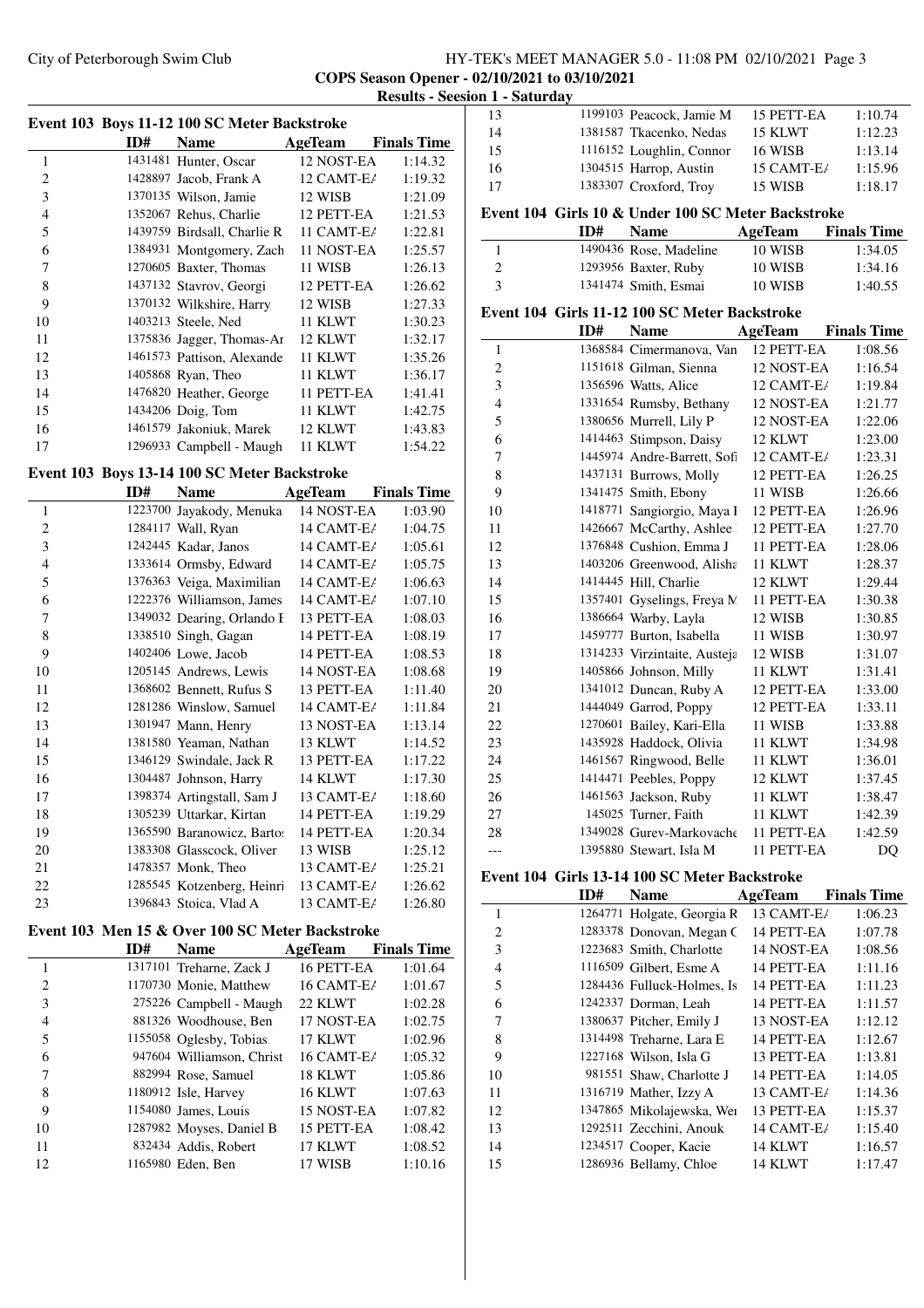## City of Peterborough Swim Club HY-TEK's MEET MANAGER 5.0 - 11:08 PM 02/10/2021 Page 3 **COPS Season Opener - 02/10/2021 to 03/10/2021 Results - Seesion 1 - Saturday**

|                |     | Event 103 Boys 11-12 100 SC Meter Backstroke |              |                    |
|----------------|-----|----------------------------------------------|--------------|--------------------|
|                | ID# | <b>Name</b>                                  | AgeTeam      | <b>Finals Time</b> |
| 1              |     | 1431481 Hunter, Oscar                        | 12 NOST-EA   | 1:14.32            |
| $\overline{2}$ |     | 1428897 Jacob, Frank A                       | 12 CAMT-E/   | 1:19.32            |
| 3              |     | 1370135 Wilson, Jamie                        | 12 WISB      | 1:21.09            |
| $\overline{4}$ |     | 1352067 Rehus, Charlie                       | 12 PETT-EA   | 1:21.53            |
| 5              |     | 1439759 Birdsall, Charlie R                  | 11 $CAMT-E/$ | 1:22.81            |
| 6              |     | 1384931 Montgomery, Zach                     | 11 NOST-EA   | 1:25.57            |
| 7              |     | 1270605 Baxter, Thomas                       | 11 WISB      | 1:26.13            |
| 8              |     | 1437132 Stavrov, Georgi                      | 12 PETT-EA   | 1:26.62            |
| 9              |     | 1370132 Wilkshire, Harry                     | 12 WISB      | 1:27.33            |
| 10             |     | 1403213 Steele, Ned                          | 11 KLWT      | 1:30.23            |
| 11             |     | 1375836 Jagger, Thomas-Ar                    | 12 KLWT      | 1:32.17            |
| 12             |     | 1461573 Pattison, Alexande                   | 11 KLWT      | 1:35.26            |
| 13             |     | 1405868 Ryan, Theo                           | 11 KLWT      | 1:36.17            |
| 14             |     | 1476820 Heather, George                      | 11 PETT-EA   | 1:41.41            |
| 15             |     | 1434206 Doig, Tom                            | 11 KLWT      | 1:42.75            |
| 16             |     | 1461579 Jakoniuk, Marek                      | 12 KLWT      | 1:43.83            |
| 17             |     | 1296933 Campbell - Maugh                     | 11 KLWT      | 1:54.22            |

## **Event 103 Boys 13-14 100 SC Meter Backstroke**

|                | ID# | Name                                 | AgeTeam    | <b>Finals Time</b> |
|----------------|-----|--------------------------------------|------------|--------------------|
| 1              |     | 1223700 Jayakody, Menuka             | 14 NOST-EA | 1:03.90            |
| $\overline{2}$ |     | 1284117 Wall, Ryan                   | 14 CAMT-E/ | 1:04.75            |
| 3              |     | 1242445 Kadar, Janos                 | 14 CAMT-E/ | 1:05.61            |
| $\overline{4}$ |     | 1333614 Ormsby, Edward               | 14 CAMT-E/ | 1:05.75            |
| 5              |     | 1376363 Veiga, Maximilian 14 CAMT-E/ |            | 1:06.63            |
| 6              |     | 1222376 Williamson, James            | 14 CAMT-E/ | 1:07.10            |
| 7              |     | 1349032 Dearing, Orlando E           | 13 PETT-EA | 1:08.03            |
| 8              |     | 1338510 Singh, Gagan                 | 14 PETT-EA | 1:08.19            |
| 9              |     | 1402406 Lowe, Jacob                  | 14 PETT-EA | 1:08.53            |
| 10             |     | 1205145 Andrews, Lewis               | 14 NOST-EA | 1:08.68            |
| 11             |     | 1368602 Bennett, Rufus S             | 13 PETT-EA | 1:11.40            |
| 12             |     | 1281286 Winslow, Samuel              | 14 CAMT-E/ | 1:11.84            |
| 13             |     | 1301947 Mann, Henry                  | 13 NOST-EA | 1:13.14            |
| 14             |     | 1381580 Yeaman, Nathan               | 13 KLWT    | 1:14.52            |
| 15             |     | 1346129 Swindale, Jack R             | 13 PETT-EA | 1:17.22            |
| 16             |     | 1304487 Johnson, Harry               | 14 KLWT    | 1:17.30            |
| 17             |     | 1398374 Artingstall, Sam J           | 13 CAMT-E/ | 1:18.60            |
| 18             |     | 1305239 Uttarkar, Kirtan             | 14 PETT-EA | 1:19.29            |
| 19             |     | 1365590 Baranowicz, Bartos           | 14 PETT-EA | 1:20.34            |
| 20             |     | 1383308 Glasscock, Oliver            | 13 WISB    | 1:25.12            |
| 21             |     | 1478357 Monk, Theo                   | 13 CAMT-E/ | 1:25.21            |
| 22             |     | 1285545 Kotzenberg, Heinri           | 13 CAMT-E/ | 1:26.62            |
| 23             |     | 1396843 Stoica, Vlad A               | 13 CAMT-E/ | 1:26.80            |

### **Event 103 Men 15 & Over 100 SC Meter Backstroke**

|                | ID# | <b>Name</b>               | AgeTeam      | <b>Finals Time</b> |
|----------------|-----|---------------------------|--------------|--------------------|
| 1              |     | 1317101 Treharne, Zack J  | 16 PETT-EA   | 1:01.64            |
| $\mathfrak{D}$ |     | 1170730 Monie, Matthew    | 16 CAMT-E/   | 1:01.67            |
| 3              |     | 275226 Campbell - Maugh   | 22 KLWT      | 1:02.28            |
| 4              |     | 881326 Woodhouse, Ben     | 17 NOST-EA   | 1:02.75            |
| 5              |     | 1155058 Oglesby, Tobias   | 17 KLWT      | 1:02.96            |
| 6              |     | 947604 Williamson, Christ | $16$ CAMT-E/ | 1:05.32            |
| 7              |     | 882994 Rose, Samuel       | 18 KLWT      | 1:05.86            |
| 8              |     | 1180912 Isle, Harvey      | 16 KLWT      | 1:07.63            |
| 9              |     | 1154080 James, Louis      | 15 NOST-EA   | 1:07.82            |
| 10             |     | 1287982 Moyses, Daniel B  | 15 PETT-EA   | 1:08.42            |
| 11             |     | 832434 Addis, Robert      | 17 KLWT      | 1:08.52            |
| 12             |     | 1165980 Eden, Ben         | 17 WISB      | 1:10.16            |

|    | ID# | <b>Name</b>                                        | AgeTeam        | <b>Finals Time</b> |
|----|-----|----------------------------------------------------|----------------|--------------------|
|    |     | Event 104 Girls 10 & Under 100 SC Meter Backstroke |                |                    |
| 17 |     | 1383307 Croxford, Troy                             | 15 WISB        | 1:18.17            |
| 16 |     | 1304515 Harrop, Austin                             | 15 CAMT-E/     | 1:15.96            |
| 15 |     | 1116152 Loughlin, Connor                           | <b>16 WISB</b> | 1:13.14            |
| 14 |     | 1381587 Tkacenko, Nedas                            | 15 KLWT        | 1:12.23            |
| 13 |     | 1199103 Peacock, Jamie M                           | 15 PETT-EA     | 1:10.74            |

# 1 1490436 Rose, Madeline 10 WISB 1:34.05<br>2 1293956 Baxter. Ruby 10 WISB 1:34.16 2 1293956 Baxter, Ruby 10 WISB 1:34.16<br>3 1341474 Smith, Esmai 10 WISB 1:40.55

1341474 Smith, Esmai 10 WISB 1:40.55

## **Event 104 Girls 11-12 100 SC Meter Backstroke**

|                | ID# | <b>Name</b>                  | AgeTeam    | <b>Finals Time</b> |
|----------------|-----|------------------------------|------------|--------------------|
| 1              |     | 1368584 Cimermanova, Van     | 12 PETT-EA | 1:08.56            |
| $\overline{c}$ |     | 1151618 Gilman, Sienna       | 12 NOST-EA | 1:16.54            |
| 3              |     | 1356596 Watts, Alice         | 12 CAMT-E/ | 1:19.84            |
| $\overline{4}$ |     | 1331654 Rumsby, Bethany      | 12 NOST-EA | 1:21.77            |
| 5              |     | 1380656 Murrell, Lily P      | 12 NOST-EA | 1:22.06            |
| 6              |     | 1414463 Stimpson, Daisy      | 12 KLWT    | 1:23.00            |
| 7              |     | 1445974 Andre-Barrett, Sofi  | 12 CAMT-E/ | 1:23.31            |
| 8              |     | 1437131 Burrows, Molly       | 12 PETT-EA | 1:26.25            |
| 9              |     | 1341475 Smith, Ebony         | 11 WISB    | 1:26.66            |
| 10             |     | 1418771 Sangiorgio, Maya I   | 12 PETT-EA | 1:26.96            |
| 11             |     | 1426667 McCarthy, Ashlee     | 12 PETT-EA | 1:27.70            |
| 12             |     | 1376848 Cushion, Emma J      | 11 PETT-EA | 1:28.06            |
| 13             |     | 1403206 Greenwood, Alisha    | 11 KLWT    | 1:28.37            |
| 14             |     | 1414445 Hill, Charlie        | 12 KLWT    | 1:29.44            |
| 15             |     | 1357401 Gyselings, Freya N.  | 11 PETT-EA | 1:30.38            |
| 16             |     | 1386664 Warby, Layla         | 12 WISB    | 1:30.85            |
| 17             |     | 1459777 Burton, Isabella     | 11 WISB    | 1:30.97            |
| 18             |     | 1314233 Virzintaite, Austeja | 12 WISB    | 1:31.07            |
| 19             |     | 1405866 Johnson, Milly       | 11 KLWT    | 1:31.41            |
| 20             |     | 1341012 Duncan, Ruby A       | 12 PETT-EA | 1:33.00            |
| 21             |     | 1444049 Garrod, Poppy        | 12 PETT-EA | 1:33.11            |
| 22             |     | 1270601 Bailey, Kari-Ella    | 11 WISB    | 1:33.88            |
| 23             |     | 1435928 Haddock, Olivia      | 11 KLWT    | 1:34.98            |
| 24             |     | 1461567 Ringwood, Belle      | 11 KLWT    | 1:36.01            |
| 25             |     | 1414471 Peebles, Poppy       | 12 KLWT    | 1:37.45            |
| 26             |     | 1461563 Jackson, Ruby        | 11 KLWT    | 1:38.47            |
| 27             |     | 145025 Turner, Faith         | 11 KLWT    | 1:42.39            |
| 28             |     | 1349028 Gurev-Markovache     | 11 PETT-EA | 1:42.59            |
| ---            |     | 1395880 Stewart, Isla M      | 11 PETT-EA | DQ                 |

## **Event 104 Girls 13-14 100 SC Meter Backstroke**

 $\overline{\phantom{0}}$ 

|                | ID# | <b>Name</b>                | AgeTeam    | <b>Finals Time</b> |
|----------------|-----|----------------------------|------------|--------------------|
| 1              |     | 1264771 Holgate, Georgia R | 13 CAMT-E/ | 1:06.23            |
| $\overline{c}$ |     | 1283378 Donovan, Megan C   | 14 PETT-EA | 1:07.78            |
| 3              |     | 1223683 Smith, Charlotte   | 14 NOST-EA | 1:08.56            |
| $\overline{4}$ |     | 1116509 Gilbert, Esme A    | 14 PETT-EA | 1:11.16            |
| 5              |     | 1284436 Fulluck-Holmes, Is | 14 PETT-EA | 1:11.23            |
| 6              |     | 1242337 Dorman, Leah       | 14 PETT-EA | 1:11.57            |
| 7              |     | 1380637 Pitcher, Emily J   | 13 NOST-EA | 1:12.12            |
| 8              |     | 1314498 Treharne, Lara E   | 14 PETT-EA | 1:12.67            |
| 9              |     | 1227168 Wilson, Isla G     | 13 PETT-EA | 1:13.81            |
| 10             |     | 981551 Shaw, Charlotte J   | 14 PETT-EA | 1:14.05            |
| 11             |     | 1316719 Mather, Izzy A     | 13 CAMT-E/ | 1:14.36            |
| 12             |     | 1347865 Mikolajewska, Wei  | 13 PETT-EA | 1:15.37            |
| 13             |     | 1292511 Zecchini, Anouk    | 14 CAMT-E/ | 1:15.40            |
| 14             |     | 1234517 Cooper, Kacie      | 14 KLWT    | 1:16.57            |
| 15             |     | 1286936 Bellamy, Chloe     | 14 KLWT    | 1:17.47            |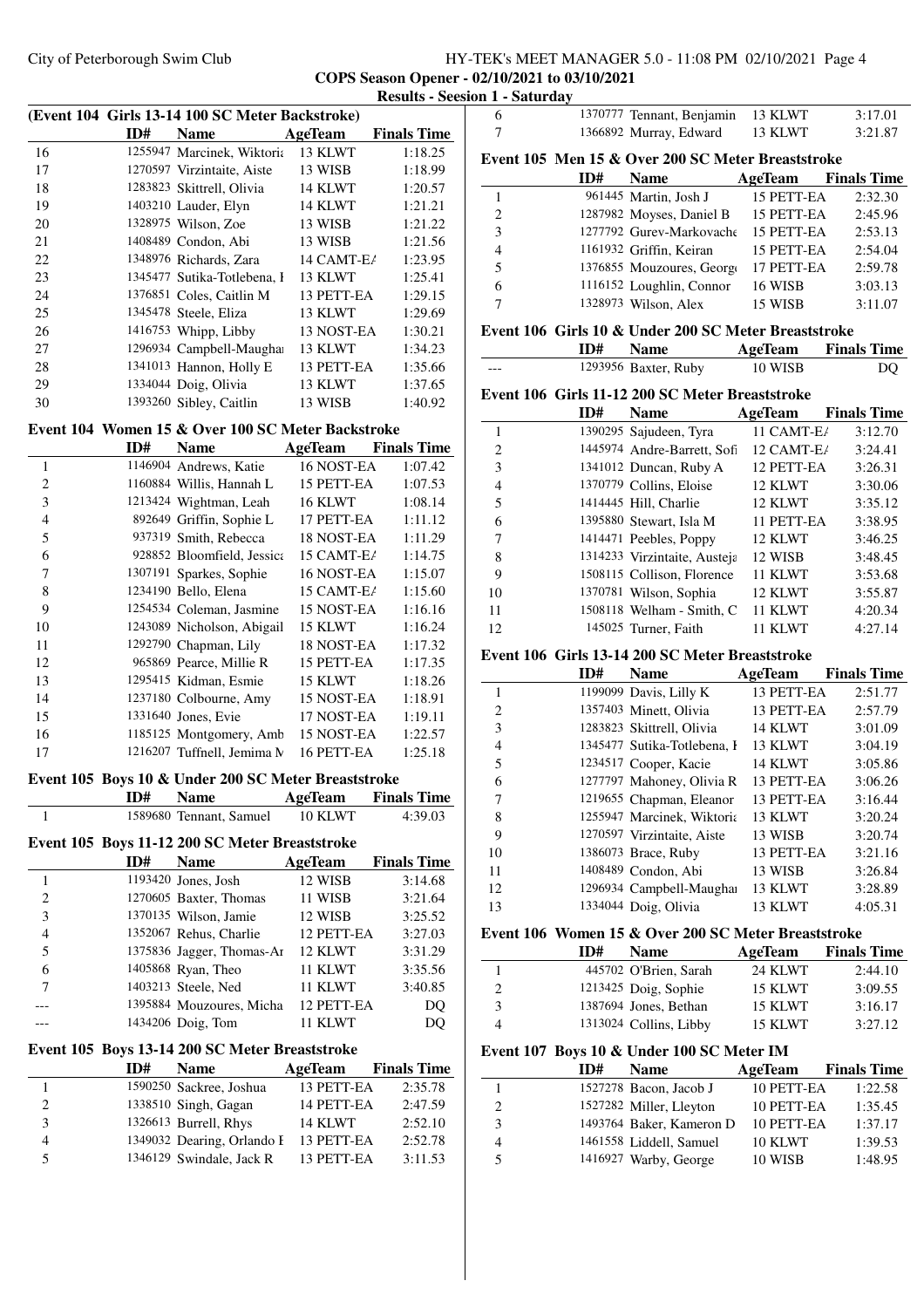## City of Peterborough Swim Club HY-TEK's MEET MANAGER 5.0 - 11:08 PM 02/10/2021 Page 4 **COPS Season Opener - 02/10/2021 to 03/10/2021 Results - Seesion 1 - Saturday**

|    |     | (Event 104 Girls 13-14 100 SC Meter Backstroke)   |            |                    |
|----|-----|---------------------------------------------------|------------|--------------------|
|    | ID# | <b>Name</b>                                       | AgeTeam    | <b>Finals Time</b> |
| 16 |     | 1255947 Marcinek, Wiktoria                        | 13 KLWT    | 1:18.25            |
| 17 |     | 1270597 Virzintaite, Aiste                        | 13 WISB    | 1:18.99            |
| 18 |     | 1283823 Skittrell, Olivia                         | 14 KLWT    | 1:20.57            |
| 19 |     | 1403210 Lauder, Elyn                              | 14 KLWT    | 1:21.21            |
| 20 |     | 1328975 Wilson, Zoe                               | 13 WISB    | 1:21.22            |
| 21 |     | 1408489 Condon, Abi                               | 13 WISB    | 1:21.56            |
| 22 |     | 1348976 Richards, Zara                            | 14 CAMT-E/ | 1:23.95            |
| 23 |     | 1345477 Sutika-Totlebena, I                       | 13 KLWT    | 1:25.41            |
| 24 |     | 1376851 Coles, Caitlin M                          | 13 PETT-EA | 1:29.15            |
| 25 |     | 1345478 Steele, Eliza                             | 13 KLWT    | 1:29.69            |
| 26 |     | 1416753 Whipp, Libby                              | 13 NOST-EA | 1:30.21            |
| 27 |     | 1296934 Campbell-Maughar                          | 13 KLWT    | 1:34.23            |
| 28 |     | 1341013 Hannon, Holly E                           | 13 PETT-EA | 1:35.66            |
| 29 |     | 1334044 Doig, Olivia                              | 13 KLWT    | 1:37.65            |
| 30 |     | 1393260 Sibley, Caitlin                           | 13 WISB    | 1:40.92            |
|    |     | Event 104 Women 15 & Over 100 SC Meter Backstroke |            |                    |
|    | ID# | <b>Name</b>                                       | AgeTeam    | <b>Finals Time</b> |
| 1  |     | 1146904 Andrews, Katie                            | 16 NOST-EA | 1:07.42            |
| 2  |     | 1160884 Willis, Hannah L                          | 15 PETT-EA | 1:07.53            |
| 3  |     | 1213424 Wightman, Leah                            | 16 KLWT    | 1:08.14            |
| 4  |     | 892649 Griffin, Sophie L                          | 17 PETT-EA | 1:11.12            |
| 5  |     | 937319 Smith, Rebecca                             | 18 NOST-EA | 1:11.29            |

6 928852 Bloomfield, Jessica 15 CAMT-EA 1:14.75 1307191 Sparkes, Sophie 16 NOST-EA 1:15.07 8 1234190 Bello, Elena 15 CAMT-EA 1:15.60 1254534 Coleman, Jasmine 15 NOST-EA 1:16.16 1243089 Nicholson, Abigail 15 KLWT 1:16.24 1292790 Chapman, Lily 18 NOST-EA 1:17.32 965869 Pearce, Millie R 15 PETT-EA 1:17.35 1295415 Kidman, Esmie 15 KLWT 1:18.26 1237180 Colbourne, Amy 15 NOST-EA 1:18.91 1331640 Jones, Evie 17 NOST-EA 1:19.11 16 1185125 Montgomery, Amb 15 NOST-EA 1:22.57 1216207 Tuffnell, Jemima M 16 PETT-EA 1:25.18

### **Event 105 Boys 10 & Under 200 SC Meter Breaststroke**

|   | ID# | <b>Name</b>                                    | AgeTeam        | <b>Finals Time</b> |
|---|-----|------------------------------------------------|----------------|--------------------|
| 1 |     | 1589680 Tennant, Samuel                        | 10 KLWT        | 4:39.03            |
|   |     | Event 105 Boys 11-12 200 SC Meter Breaststroke |                |                    |
|   | ID# | <b>Name</b>                                    | AgeTeam        | <b>Finals Time</b> |
| 1 |     | 1193420 Jones, Josh                            | 12 WISB        | 3:14.68            |
| 2 |     | 1270605 Baxter, Thomas                         | 11 WISB        | 3:21.64            |
| 3 |     | 1370135 Wilson, Jamie                          | 12 WISB        | 3:25.52            |
| 4 |     | 1352067 Rehus, Charlie                         | 12 PETT-EA     | 3:27.03            |
| 5 |     | 1375836 Jagger, Thomas-Ar                      | 12 KLWT        | 3:31.29            |
| 6 |     | 1405868 Ryan, Theo                             | 11 KLWT        | 3:35.56            |
| 7 |     | 1403213 Steele, Ned                            | 11 KLWT        | 3:40.85            |
|   |     | 1395884 Mouzoures, Micha                       | 12 PETT-EA     | DQ                 |
|   |     | 1434206 Doig, Tom                              | <b>11 KLWT</b> | DO                 |

#### **Event 105 Boys 13-14 200 SC Meter Breaststroke**

|   | ID# | <b>Name</b>                | AgeTeam        | <b>Finals Time</b> |
|---|-----|----------------------------|----------------|--------------------|
|   |     | 1590250 Sackree, Joshua    | 13 PETT-EA     | 2:35.78            |
|   |     | 1338510 Singh, Gagan       | 14 PETT-EA     | 2:47.59            |
| 3 |     | 1326613 Burrell, Rhys      | <b>14 KLWT</b> | 2:52.10            |
| 4 |     | 1349032 Dearing, Orlando I | 13 PETT-EA     | 2:52.78            |
| 5 |     | 1346129 Swindale, Jack R   | 13 PETT-EA     | 3:11.53            |

| 6              |     | 1370777 Tennant, Benjamin                            | 13 KLWT        | 3:17.01            |
|----------------|-----|------------------------------------------------------|----------------|--------------------|
| 7              |     | 1366892 Murray, Edward                               | 13 KLWT        | 3:21.87            |
|                |     | Event 105 Men 15 & Over 200 SC Meter Breaststroke    |                |                    |
|                | ID# | <b>Name</b>                                          | AgeTeam        | <b>Finals Time</b> |
| 1              |     | 961445 Martin, Josh J                                | 15 PETT-EA     | 2:32.30            |
| $\overline{c}$ |     | 1287982 Moyses, Daniel B                             | 15 PETT-EA     | 2:45.96            |
| 3              |     | 1277792 Gurev-Markovache                             | 15 PETT-EA     | 2:53.13            |
| 4              |     | 1161932 Griffin, Keiran                              | 15 PETT-EA     | 2:54.04            |
| 5              |     | 1376855 Mouzoures, George                            | 17 PETT-EA     | 2:59.78            |
| 6              |     | 1116152 Loughlin, Connor                             | <b>16 WISB</b> | 3:03.13            |
| 7              |     | 1328973 Wilson, Alex                                 | 15 WISB        | 3:11.07            |
|                |     | Event 106 Girls 10 & Under 200 SC Meter Breaststroke |                |                    |
|                | ID# | <b>Name</b>                                          | AgeTeam        | <b>Finals Time</b> |
|                |     | 1293956 Baxter, Ruby                                 | 10 WISB        | DO                 |

## **Event 106 Girls 11-12 200 SC Meter Breaststroke**

|    | ID# | <b>Name</b>                  | AgeTeam        | <b>Finals Time</b> |
|----|-----|------------------------------|----------------|--------------------|
| 1  |     | 1390295 Sajudeen, Tyra       | 11 CAMT-E/     | 3:12.70            |
| 2  |     | 1445974 Andre-Barrett, Sofi  | $12$ CAMT-E/   | 3:24.41            |
| 3  |     | 1341012 Duncan, Ruby A       | 12 PETT-EA     | 3:26.31            |
| 4  |     | 1370779 Collins, Eloise      | 12 KLWT        | 3:30.06            |
| 5  |     | 1414445 Hill, Charlie        | 12 KLWT        | 3:35.12            |
| 6  |     | 1395880 Stewart, Isla M      | 11 PETT-EA     | 3:38.95            |
|    |     | 1414471 Peebles, Poppy       | 12 KLWT        | 3:46.25            |
| 8  |     | 1314233 Virzintaite, Austeja | 12 WISB        | 3:48.45            |
| 9  |     | 1508115 Collison, Florence   | 11 KLWT        | 3:53.68            |
| 10 |     | 1370781 Wilson, Sophia       | 12 KLWT        | 3:55.87            |
| 11 |     | 1508118 Welham - Smith, C    | 11 KLWT        | 4:20.34            |
| 12 |     | 145025 Turner, Faith         | <b>11 KLWT</b> | 4:27.14            |

## **Event 106 Girls 13-14 200 SC Meter Breaststroke**

|                | ID# | <b>Name</b>                 | AgeTeam        | <b>Finals Time</b> |
|----------------|-----|-----------------------------|----------------|--------------------|
| 1              |     | 1199099 Davis, Lilly K      | 13 PETT-EA     | 2:51.77            |
| $\overline{2}$ |     | 1357403 Minett, Olivia      | 13 PETT-EA     | 2:57.79            |
| 3              |     | 1283823 Skittrell, Olivia   | <b>14 KLWT</b> | 3:01.09            |
| 4              |     | 1345477 Sutika-Totlebena, I | 13 KLWT        | 3:04.19            |
| 5              |     | 1234517 Cooper, Kacie       | <b>14 KLWT</b> | 3:05.86            |
| 6              |     | 1277797 Mahoney, Olivia R   | 13 PETT-EA     | 3:06.26            |
| 7              |     | 1219655 Chapman, Eleanor    | 13 PETT-EA     | 3:16.44            |
| 8              |     | 1255947 Marcinek, Wiktoria  | 13 KLWT        | 3:20.24            |
| 9              |     | 1270597 Virzintaite, Aiste  | 13 WISB        | 3:20.74            |
| 10             |     | 1386073 Brace, Ruby         | 13 PETT-EA     | 3:21.16            |
| 11             |     | 1408489 Condon, Abi         | 13 WISB        | 3:26.84            |
| 12             |     | 1296934 Campbell-Maughai    | 13 KLWT        | 3:28.89            |
| 13             |     | 1334044 Doig, Olivia        | 13 KLWT        | 4:05.31            |

#### **Event 106 Women 15 & Over 200 SC Meter Breaststroke**

|               | ID# | <b>Name</b>            | AgeTeam        | <b>Finals Time</b> |
|---------------|-----|------------------------|----------------|--------------------|
|               |     | 445702 O'Brien, Sarah  | 24 KLWT        | 2:44.10            |
| $\mathcal{D}$ |     | 1213425 Doig, Sophie   | <b>15 KLWT</b> | 3:09.55            |
| 3             |     | 1387694 Jones, Bethan  | 15 KLWT        | 3:16.17            |
|               |     | 1313024 Collins, Libby | 15 KLWT        | 3:27.12            |

### **Event 107 Boys 10 & Under 100 SC Meter IM**

| ID# | <b>Name</b>              | AgeTeam        | <b>Finals Time</b> |
|-----|--------------------------|----------------|--------------------|
|     | 1527278 Bacon, Jacob J   | 10 PETT-EA     | 1:22.58            |
|     | 1527282 Miller, Lleyton  | 10 PETT-EA     | 1:35.45            |
|     | 1493764 Baker, Kameron D | 10 PETT-EA     | 1:37.17            |
|     | 1461558 Liddell, Samuel  | <b>10 KLWT</b> | 1:39.53            |
|     | 1416927 Warby, George    | 10 WISB        | 1:48.95            |